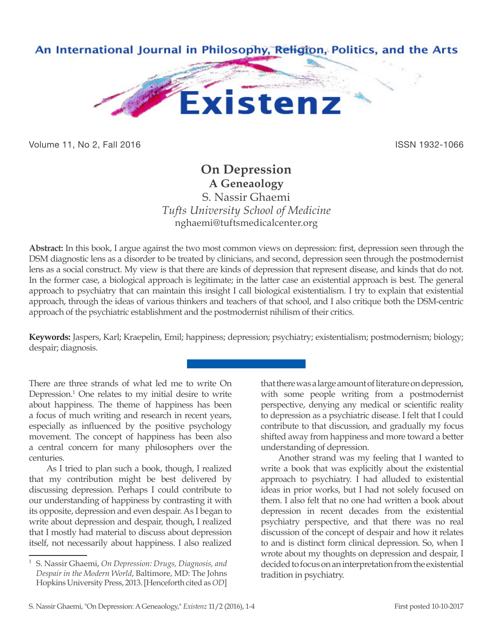

Volume 11, No 2, Fall 2016 **ISSN 1932-1066** 

# **On Depression A Geneaology**

S. Nassir Ghaemi *Tufts University School of Medicine* nghaemi@tuftsmedicalcenter.org

**Abstract:** In this book, I argue against the two most common views on depression: first, depression seen through the DSM diagnostic lens as a disorder to be treated by clinicians, and second, depression seen through the postmodernist lens as a social construct. My view is that there are kinds of depression that represent disease, and kinds that do not. In the former case, a biological approach is legitimate; in the latter case an existential approach is best. The general approach to psychiatry that can maintain this insight I call biological existentialism. I try to explain that existential approach, through the ideas of various thinkers and teachers of that school, and I also critique both the DSM-centric approach of the psychiatric establishment and the postmodernist nihilism of their critics.

**Keywords:** Jaspers, Karl; Kraepelin, Emil; happiness; depression; psychiatry; existentialism; postmodernism; biology; despair; diagnosis.

There are three strands of what led me to write On Depression.<sup>1</sup> One relates to my initial desire to write about happiness. The theme of happiness has been a focus of much writing and research in recent years, especially as influenced by the positive psychology movement. The concept of happiness has been also a central concern for many philosophers over the centuries.

As I tried to plan such a book, though, I realized that my contribution might be best delivered by discussing depression. Perhaps I could contribute to our understanding of happiness by contrasting it with its opposite, depression and even despair. As I began to write about depression and despair, though, I realized that I mostly had material to discuss about depression itself, not necessarily about happiness. I also realized that there was a large amount of literature on depression, with some people writing from a postmodernist perspective, denying any medical or scientific reality to depression as a psychiatric disease. I felt that I could contribute to that discussion, and gradually my focus shifted away from happiness and more toward a better understanding of depression.

Another strand was my feeling that I wanted to write a book that was explicitly about the existential approach to psychiatry. I had alluded to existential ideas in prior works, but I had not solely focused on them. I also felt that no one had written a book about depression in recent decades from the existential psychiatry perspective, and that there was no real discussion of the concept of despair and how it relates to and is distinct form clinical depression. So, when I wrote about my thoughts on depression and despair, I decided to focus on an interpretation from the existential tradition in psychiatry.

<sup>1</sup> S. Nassir Ghaemi, *On Depression: Drugs, Diagnosis, and Despair in the Modern World*, Baltimore, MD: The Johns Hopkins University Press, 2013. [Henceforth cited as *OD*]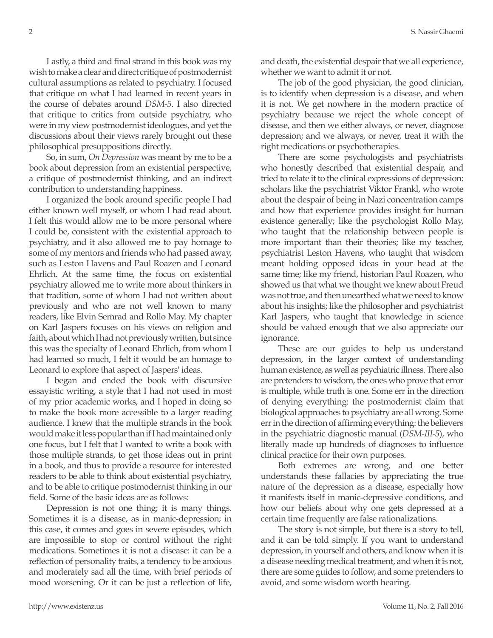Lastly, a third and final strand in this book was my wish to make a clear and direct critique of postmodernist cultural assumptions as related to psychiatry. I focused that critique on what I had learned in recent years in the course of debates around *DSM-5*. I also directed that critique to critics from outside psychiatry, who were in my view postmodernist ideologues, and yet the discussions about their views rarely brought out these philosophical presuppositions directly.

So, in sum, *On Depression* was meant by me to be a book about depression from an existential perspective, a critique of postmodernist thinking, and an indirect contribution to understanding happiness.

I organized the book around specific people I had either known well myself, or whom I had read about. I felt this would allow me to be more personal where I could be, consistent with the existential approach to psychiatry, and it also allowed me to pay homage to some of my mentors and friends who had passed away, such as Leston Havens and Paul Roazen and Leonard Ehrlich. At the same time, the focus on existential psychiatry allowed me to write more about thinkers in that tradition, some of whom I had not written about previously and who are not well known to many readers, like Elvin Semrad and Rollo May. My chapter on Karl Jaspers focuses on his views on religion and faith, about which I had not previously written, but since this was the specialty of Leonard Ehrlich, from whom I had learned so much, I felt it would be an homage to Leonard to explore that aspect of Jaspers' ideas.

I began and ended the book with discursive essayistic writing, a style that I had not used in most of my prior academic works, and I hoped in doing so to make the book more accessible to a larger reading audience. I knew that the multiple strands in the book would make it less popular than if I had maintained only one focus, but I felt that I wanted to write a book with those multiple strands, to get those ideas out in print in a book, and thus to provide a resource for interested readers to be able to think about existential psychiatry, and to be able to critique postmodernist thinking in our field. Some of the basic ideas are as follows:

Depression is not one thing; it is many things. Sometimes it is a disease, as in manic-depression; in this case, it comes and goes in severe episodes, which are impossible to stop or control without the right medications. Sometimes it is not a disease: it can be a reflection of personality traits, a tendency to be anxious and moderately sad all the time, with brief periods of mood worsening. Or it can be just a reflection of life, and death, the existential despair that we all experience, whether we want to admit it or not.

The job of the good physician, the good clinician, is to identify when depression is a disease, and when it is not. We get nowhere in the modern practice of psychiatry because we reject the whole concept of disease, and then we either always, or never, diagnose depression; and we always, or never, treat it with the right medications or psychotherapies.

There are some psychologists and psychiatrists who honestly described that existential despair, and tried to relate it to the clinical expressions of depression: scholars like the psychiatrist Viktor Frankl, who wrote about the despair of being in Nazi concentration camps and how that experience provides insight for human existence generally; like the psychologist Rollo May, who taught that the relationship between people is more important than their theories; like my teacher, psychiatrist Leston Havens, who taught that wisdom meant holding opposed ideas in your head at the same time; like my friend, historian Paul Roazen, who showed us that what we thought we knew about Freud was not true, and then unearthed what we need to know about his insights; like the philosopher and psychiatrist Karl Jaspers, who taught that knowledge in science should be valued enough that we also appreciate our ignorance.

These are our guides to help us understand depression, in the larger context of understanding human existence, as well as psychiatric illness. There also are pretenders to wisdom, the ones who prove that error is multiple, while truth is one. Some err in the direction of denying everything: the postmodernist claim that biological approaches to psychiatry are all wrong. Some err in the direction of affirming everything: the believers in the psychiatric diagnostic manual (*DSM-III-5*), who literally made up hundreds of diagnoses to influence clinical practice for their own purposes.

Both extremes are wrong, and one better understands these fallacies by appreciating the true nature of the depression as a disease, especially how it manifests itself in manic-depressive conditions, and how our beliefs about why one gets depressed at a certain time frequently are false rationalizations.

The story is not simple, but there is a story to tell, and it can be told simply. If you want to understand depression, in yourself and others, and know when it is a disease needing medical treatment, and when it is not, there are some guides to follow, and some pretenders to avoid, and some wisdom worth hearing.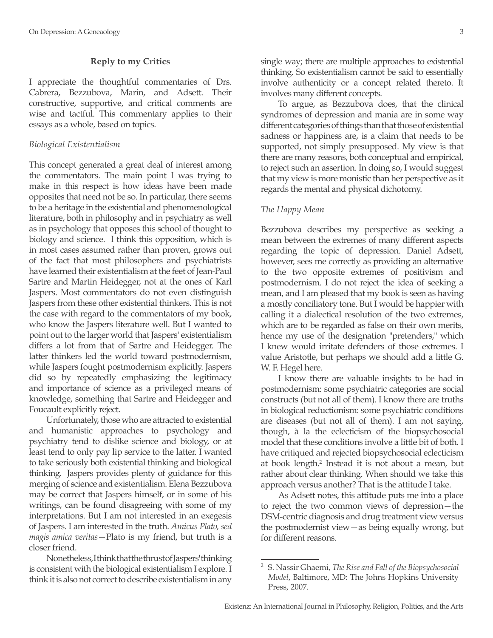## **Reply to my Critics**

I appreciate the thoughtful commentaries of Drs. Cabrera, Bezzubova, Marin, and Adsett. Their constructive, supportive, and critical comments are wise and tactful. This commentary applies to their essays as a whole, based on topics.

### *Biological Existentialism*

This concept generated a great deal of interest among the commentators. The main point I was trying to make in this respect is how ideas have been made opposites that need not be so. In particular, there seems to be a heritage in the existential and phenomenological literature, both in philosophy and in psychiatry as well as in psychology that opposes this school of thought to biology and science. I think this opposition, which is in most cases assumed rather than proven, grows out of the fact that most philosophers and psychiatrists have learned their existentialism at the feet of Jean-Paul Sartre and Martin Heidegger, not at the ones of Karl Jaspers. Most commentators do not even distinguish Jaspers from these other existential thinkers. This is not the case with regard to the commentators of my book, who know the Jaspers literature well. But I wanted to point out to the larger world that Jaspers' existentialism differs a lot from that of Sartre and Heidegger. The latter thinkers led the world toward postmodernism, while Jaspers fought postmodernism explicitly. Jaspers did so by repeatedly emphasizing the legitimacy and importance of science as a privileged means of knowledge, something that Sartre and Heidegger and Foucault explicitly reject.

Unfortunately, those who are attracted to existential and humanistic approaches to psychology and psychiatry tend to dislike science and biology, or at least tend to only pay lip service to the latter. I wanted to take seriously both existential thinking and biological thinking. Jaspers provides plenty of guidance for this merging of science and existentialism. Elena Bezzubova may be correct that Jaspers himself, or in some of his writings, can be found disagreeing with some of my interpretations. But I am not interested in an exegesis of Jaspers. I am interested in the truth. *Amicus Plato, sed magis amica veritas*—Plato is my friend, but truth is a closer friend.

Nonetheless, I think that the thrust of Jaspers' thinking is consistent with the biological existentialism I explore. I think it is also not correct to describe existentialism in any single way; there are multiple approaches to existential thinking. So existentialism cannot be said to essentially involve authenticity or a concept related thereto. It involves many different concepts.

To argue, as Bezzubova does, that the clinical syndromes of depression and mania are in some way different categories of things than that those of existential sadness or happiness are, is a claim that needs to be supported, not simply presupposed. My view is that there are many reasons, both conceptual and empirical, to reject such an assertion. In doing so, I would suggest that my view is more monistic than her perspective as it regards the mental and physical dichotomy.

#### *The Happy Mean*

Bezzubova describes my perspective as seeking a mean between the extremes of many different aspects regarding the topic of depression. Daniel Adsett, however, sees me correctly as providing an alternative to the two opposite extremes of positivism and postmodernism. I do not reject the idea of seeking a mean, and I am pleased that my book is seen as having a mostly conciliatory tone. But I would be happier with calling it a dialectical resolution of the two extremes, which are to be regarded as false on their own merits, hence my use of the designation "pretenders," which I knew would irritate defenders of those extremes. I value Aristotle, but perhaps we should add a little G. W. F. Hegel here.

I know there are valuable insights to be had in postmodernism: some psychiatric categories are social constructs (but not all of them). I know there are truths in biological reductionism: some psychiatric conditions are diseases (but not all of them). I am not saying, though, à la the eclecticism of the biopsychosocial model that these conditions involve a little bit of both. I have critiqued and rejected biopsychosocial eclecticism at book length.<sup>2</sup> Instead it is not about a mean, but rather about clear thinking. When should we take this approach versus another? That is the attitude I take.

As Adsett notes, this attitude puts me into a place to reject the two common views of depression—the DSM-centric diagnosis and drug treatment view versus the postmodernist view—as being equally wrong, but for different reasons.

<sup>2</sup> S. Nassir Ghaemi, *The Rise and Fall of the Biopsychosocial Model*, Baltimore, MD: The Johns Hopkins University Press, 2007.